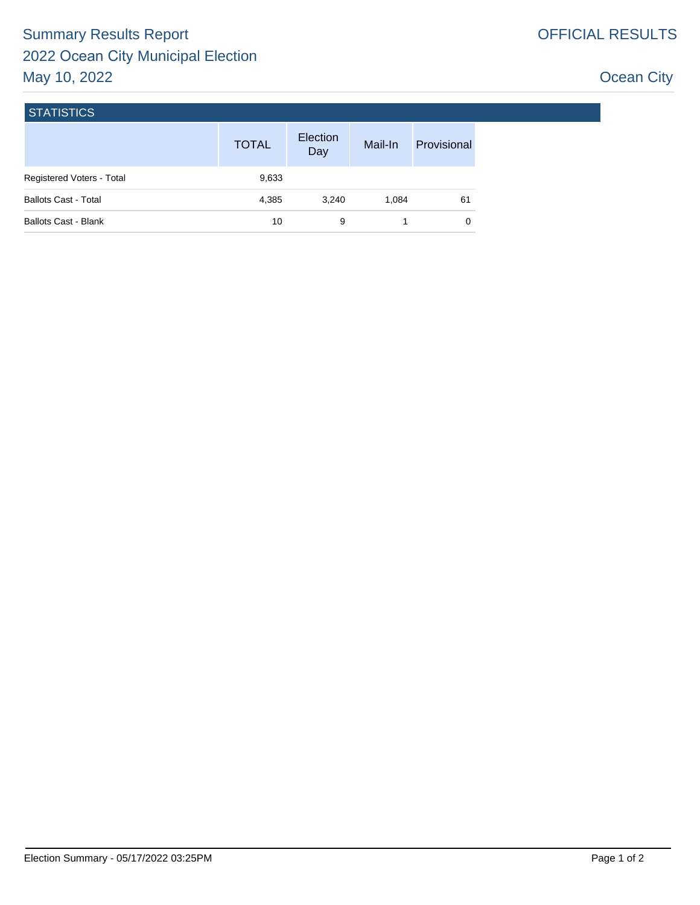## Ocean City

| <b>STATISTICS</b> |  |
|-------------------|--|
|                   |  |

|                             | <b>TOTAL</b> | Election<br>Day | Mail-In | Provisional |
|-----------------------------|--------------|-----------------|---------|-------------|
| Registered Voters - Total   | 9,633        |                 |         |             |
| <b>Ballots Cast - Total</b> | 4,385        | 3.240           | 1.084   | 61          |
| <b>Ballots Cast - Blank</b> | 10           | 9               |         |             |